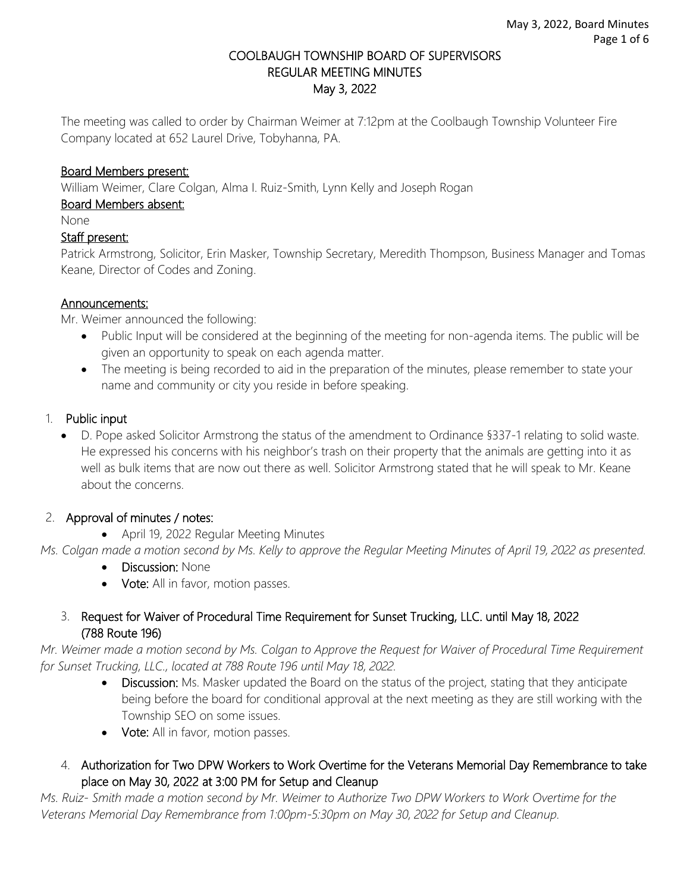#### COOLBAUGH TOWNSHIP BOARD OF SUPERVISORS REGULAR MEETING MINUTES May 3, 2022

The meeting was called to order by Chairman Weimer at 7:12pm at the Coolbaugh Township Volunteer Fire Company located at 652 Laurel Drive, Tobyhanna, PA.

### Board Members present:

William Weimer, Clare Colgan, Alma I. Ruiz-Smith, Lynn Kelly and Joseph Rogan

#### Board Members absent:

None

#### Staff present:

Patrick Armstrong, Solicitor, Erin Masker, Township Secretary, Meredith Thompson, Business Manager and Tomas Keane, Director of Codes and Zoning.

#### Announcements:

Mr. Weimer announced the following:

- Public Input will be considered at the beginning of the meeting for non-agenda items. The public will be given an opportunity to speak on each agenda matter.
- The meeting is being recorded to aid in the preparation of the minutes, please remember to state your name and community or city you reside in before speaking.

#### 1. Public input

• D. Pope asked Solicitor Armstrong the status of the amendment to Ordinance §337-1 relating to solid waste. He expressed his concerns with his neighbor's trash on their property that the animals are getting into it as well as bulk items that are now out there as well. Solicitor Armstrong stated that he will speak to Mr. Keane about the concerns.

### 2. Approval of minutes / notes:

• April 19, 2022 Regular Meeting Minutes

*Ms. Colgan made a motion second by Ms. Kelly to approve the Regular Meeting Minutes of April 19, 2022 as presented.* 

- Discussion: None
- Vote: All in favor, motion passes.

### 3. Request for Waiver of Procedural Time Requirement for Sunset Trucking, LLC. until May 18, 2022 (788 Route 196)

*Mr. Weimer made a motion second by Ms. Colgan to Approve the Request for Waiver of Procedural Time Requirement for Sunset Trucking, LLC., located at 788 Route 196 until May 18, 2022.*

- Discussion: Ms. Masker updated the Board on the status of the project, stating that they anticipate being before the board for conditional approval at the next meeting as they are still working with the Township SEO on some issues.
- Vote: All in favor, motion passes.
- 4. Authorization for Two DPW Workers to Work Overtime for the Veterans Memorial Day Remembrance to take place on May 30, 2022 at 3:00 PM for Setup and Cleanup

*Ms. Ruiz- Smith made a motion second by Mr. Weimer to Authorize Two DPW Workers to Work Overtime for the Veterans Memorial Day Remembrance from 1:00pm-5:30pm on May 30, 2022 for Setup and Cleanup.*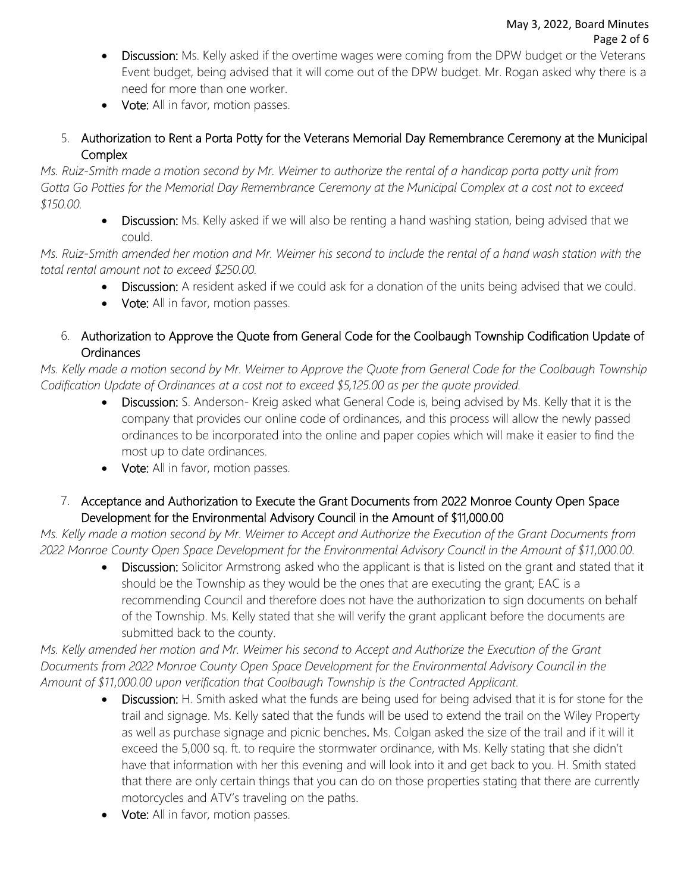- Discussion: Ms. Kelly asked if the overtime wages were coming from the DPW budget or the Veterans Event budget, being advised that it will come out of the DPW budget. Mr. Rogan asked why there is a need for more than one worker.
- Vote: All in favor, motion passes.
- 5. Authorization to Rent a Porta Potty for the Veterans Memorial Day Remembrance Ceremony at the Municipal Complex

*Ms. Ruiz-Smith made a motion second by Mr. Weimer to authorize the rental of a handicap porta potty unit from Gotta Go Potties for the Memorial Day Remembrance Ceremony at the Municipal Complex at a cost not to exceed \$150.00.*

> • Discussion: Ms. Kelly asked if we will also be renting a hand washing station, being advised that we could.

*Ms. Ruiz-Smith amended her motion and Mr. Weimer his second to include the rental of a hand wash station with the total rental amount not to exceed \$250.00.*

- Discussion: A resident asked if we could ask for a donation of the units being advised that we could.
- Vote: All in favor, motion passes.
- 6. Authorization to Approve the Quote from General Code for the Coolbaugh Township Codification Update of Ordinances

*Ms. Kelly made a motion second by Mr. Weimer to Approve the Quote from General Code for the Coolbaugh Township Codification Update of Ordinances at a cost not to exceed \$5,125.00 as per the quote provided.*

- Discussion: S. Anderson- Kreig asked what General Code is, being advised by Ms. Kelly that it is the company that provides our online code of ordinances, and this process will allow the newly passed ordinances to be incorporated into the online and paper copies which will make it easier to find the most up to date ordinances.
- Vote: All in favor, motion passes.
- 7. Acceptance and Authorization to Execute the Grant Documents from 2022 Monroe County Open Space Development for the Environmental Advisory Council in the Amount of \$11,000.00

*Ms. Kelly made a motion second by Mr. Weimer to Accept and Authorize the Execution of the Grant Documents from 2022 Monroe County Open Space Development for the Environmental Advisory Council in the Amount of \$11,000.00.*

• Discussion: Solicitor Armstrong asked who the applicant is that is listed on the grant and stated that it should be the Township as they would be the ones that are executing the grant; EAC is a recommending Council and therefore does not have the authorization to sign documents on behalf of the Township. Ms. Kelly stated that she will verify the grant applicant before the documents are submitted back to the county.

*Ms. Kelly amended her motion and Mr. Weimer his second to Accept and Authorize the Execution of the Grant Documents from 2022 Monroe County Open Space Development for the Environmental Advisory Council in the Amount of \$11,000.00 upon verification that Coolbaugh Township is the Contracted Applicant.*

- Discussion: H. Smith asked what the funds are being used for being advised that it is for stone for the trail and signage. Ms. Kelly sated that the funds will be used to extend the trail on the Wiley Property as well as purchase signage and picnic benches. Ms. Colgan asked the size of the trail and if it will it exceed the 5,000 sq. ft. to require the stormwater ordinance, with Ms. Kelly stating that she didn't have that information with her this evening and will look into it and get back to you. H. Smith stated that there are only certain things that you can do on those properties stating that there are currently motorcycles and ATV's traveling on the paths.
- Vote: All in favor, motion passes.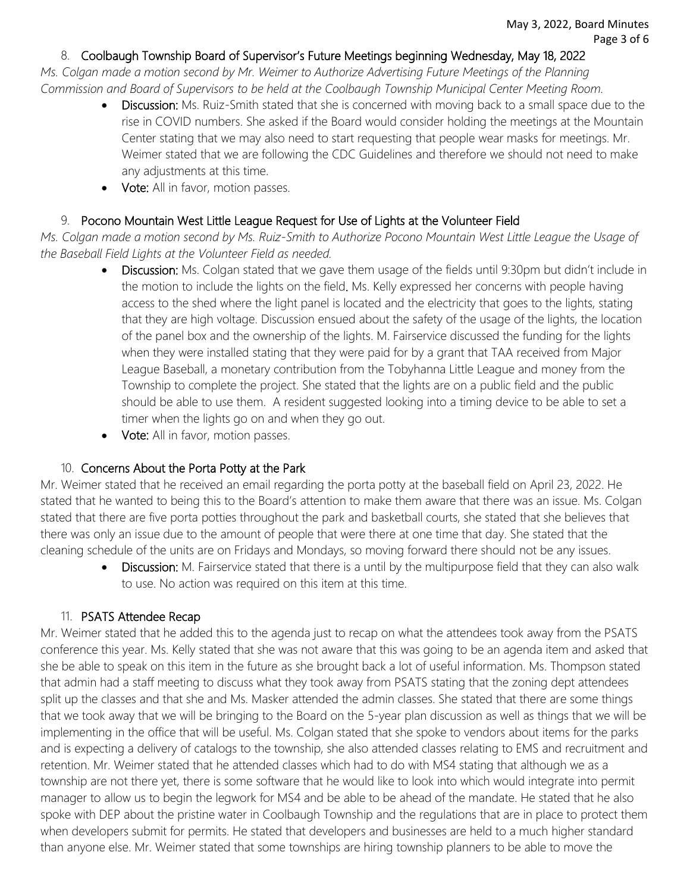#### 8. Coolbaugh Township Board of Supervisor's Future Meetings beginning Wednesday, May 18, 2022

*Ms. Colgan made a motion second by Mr. Weimer to Authorize Advertising Future Meetings of the Planning Commission and Board of Supervisors to be held at the Coolbaugh Township Municipal Center Meeting Room.* 

- **Discussion:** Ms. Ruiz-Smith stated that she is concerned with moving back to a small space due to the rise in COVID numbers. She asked if the Board would consider holding the meetings at the Mountain Center stating that we may also need to start requesting that people wear masks for meetings. Mr. Weimer stated that we are following the CDC Guidelines and therefore we should not need to make any adjustments at this time.
- Vote: All in favor, motion passes.

## 9. Pocono Mountain West Little League Request for Use of Lights at the Volunteer Field

*Ms. Colgan made a motion second by Ms. Ruiz-Smith to Authorize Pocono Mountain West Little League the Usage of the Baseball Field Lights at the Volunteer Field as needed.* 

- **Discussion:** Ms. Colgan stated that we gave them usage of the fields until 9:30pm but didn't include in the motion to include the lights on the field. Ms. Kelly expressed her concerns with people having access to the shed where the light panel is located and the electricity that goes to the lights, stating that they are high voltage. Discussion ensued about the safety of the usage of the lights, the location of the panel box and the ownership of the lights. M. Fairservice discussed the funding for the lights when they were installed stating that they were paid for by a grant that TAA received from Major League Baseball, a monetary contribution from the Tobyhanna Little League and money from the Township to complete the project. She stated that the lights are on a public field and the public should be able to use them. A resident suggested looking into a timing device to be able to set a timer when the lights go on and when they go out.
- Vote: All in favor, motion passes.

# 10. Concerns About the Porta Potty at the Park

Mr. Weimer stated that he received an email regarding the porta potty at the baseball field on April 23, 2022. He stated that he wanted to being this to the Board's attention to make them aware that there was an issue. Ms. Colgan stated that there are five porta potties throughout the park and basketball courts, she stated that she believes that there was only an issue due to the amount of people that were there at one time that day. She stated that the cleaning schedule of the units are on Fridays and Mondays, so moving forward there should not be any issues.

• Discussion: M. Fairservice stated that there is a until by the multipurpose field that they can also walk to use. No action was required on this item at this time.

# 11. PSATS Attendee Recap

Mr. Weimer stated that he added this to the agenda just to recap on what the attendees took away from the PSATS conference this year. Ms. Kelly stated that she was not aware that this was going to be an agenda item and asked that she be able to speak on this item in the future as she brought back a lot of useful information. Ms. Thompson stated that admin had a staff meeting to discuss what they took away from PSATS stating that the zoning dept attendees split up the classes and that she and Ms. Masker attended the admin classes. She stated that there are some things that we took away that we will be bringing to the Board on the 5-year plan discussion as well as things that we will be implementing in the office that will be useful. Ms. Colgan stated that she spoke to vendors about items for the parks and is expecting a delivery of catalogs to the township, she also attended classes relating to EMS and recruitment and retention. Mr. Weimer stated that he attended classes which had to do with MS4 stating that although we as a township are not there yet, there is some software that he would like to look into which would integrate into permit manager to allow us to begin the legwork for MS4 and be able to be ahead of the mandate. He stated that he also spoke with DEP about the pristine water in Coolbaugh Township and the regulations that are in place to protect them when developers submit for permits. He stated that developers and businesses are held to a much higher standard than anyone else. Mr. Weimer stated that some townships are hiring township planners to be able to move the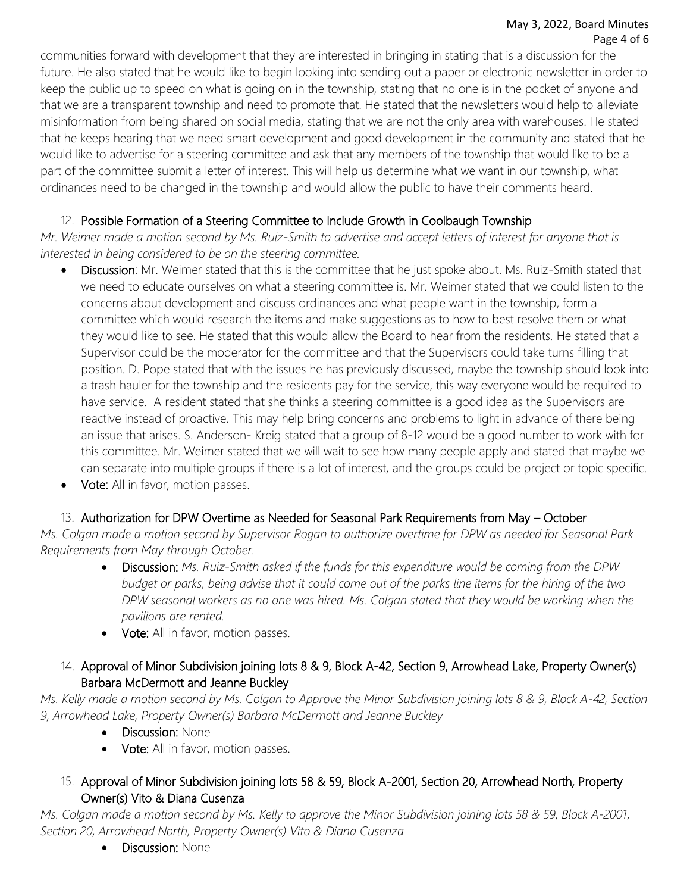#### May 3, 2022, Board Minutes Page 4 of 6

communities forward with development that they are interested in bringing in stating that is a discussion for the future. He also stated that he would like to begin looking into sending out a paper or electronic newsletter in order to keep the public up to speed on what is going on in the township, stating that no one is in the pocket of anyone and that we are a transparent township and need to promote that. He stated that the newsletters would help to alleviate misinformation from being shared on social media, stating that we are not the only area with warehouses. He stated that he keeps hearing that we need smart development and good development in the community and stated that he would like to advertise for a steering committee and ask that any members of the township that would like to be a part of the committee submit a letter of interest. This will help us determine what we want in our township, what ordinances need to be changed in the township and would allow the public to have their comments heard.

# 12. Possible Formation of a Steering Committee to Include Growth in Coolbaugh Township

*Mr. Weimer made a motion second by Ms. Ruiz-Smith to advertise and accept letters of interest for anyone that is interested in being considered to be on the steering committee.* 

- Discussion: Mr. Weimer stated that this is the committee that he just spoke about. Ms. Ruiz-Smith stated that we need to educate ourselves on what a steering committee is. Mr. Weimer stated that we could listen to the concerns about development and discuss ordinances and what people want in the township, form a committee which would research the items and make suggestions as to how to best resolve them or what they would like to see. He stated that this would allow the Board to hear from the residents. He stated that a Supervisor could be the moderator for the committee and that the Supervisors could take turns filling that position. D. Pope stated that with the issues he has previously discussed, maybe the township should look into a trash hauler for the township and the residents pay for the service, this way everyone would be required to have service. A resident stated that she thinks a steering committee is a good idea as the Supervisors are reactive instead of proactive. This may help bring concerns and problems to light in advance of there being an issue that arises. S. Anderson- Kreig stated that a group of 8-12 would be a good number to work with for this committee. Mr. Weimer stated that we will wait to see how many people apply and stated that maybe we can separate into multiple groups if there is a lot of interest, and the groups could be project or topic specific.
- Vote: All in favor, motion passes.

# 13. Authorization for DPW Overtime as Needed for Seasonal Park Requirements from May – October

*Ms. Colgan made a motion second by Supervisor Rogan to authorize overtime for DPW as needed for Seasonal Park Requirements from May through October.*

- Discussion: *Ms. Ruiz-Smith asked if the funds for this expenditure would be coming from the DPW budget or parks, being advise that it could come out of the parks line items for the hiring of the two DPW seasonal workers as no one was hired. Ms. Colgan stated that they would be working when the pavilions are rented.*
- Vote: All in favor, motion passes.

# 14. Approval of Minor Subdivision joining lots 8 & 9, Block A-42, Section 9, Arrowhead Lake, Property Owner(s) Barbara McDermott and Jeanne Buckley

*Ms. Kelly made a motion second by Ms. Colgan to Approve the Minor Subdivision joining lots 8 & 9, Block A-42, Section 9, Arrowhead Lake, Property Owner(s) Barbara McDermott and Jeanne Buckley*

- Discussion: None
- Vote: All in favor, motion passes.
- 15. Approval of Minor Subdivision joining lots 58 & 59, Block A-2001, Section 20, Arrowhead North, Property Owner(s) Vito & Diana Cusenza

*Ms. Colgan made a motion second by Ms. Kelly to approve the Minor Subdivision joining lots 58 & 59, Block A-2001, Section 20, Arrowhead North, Property Owner(s) Vito & Diana Cusenza*

• **Discussion: None**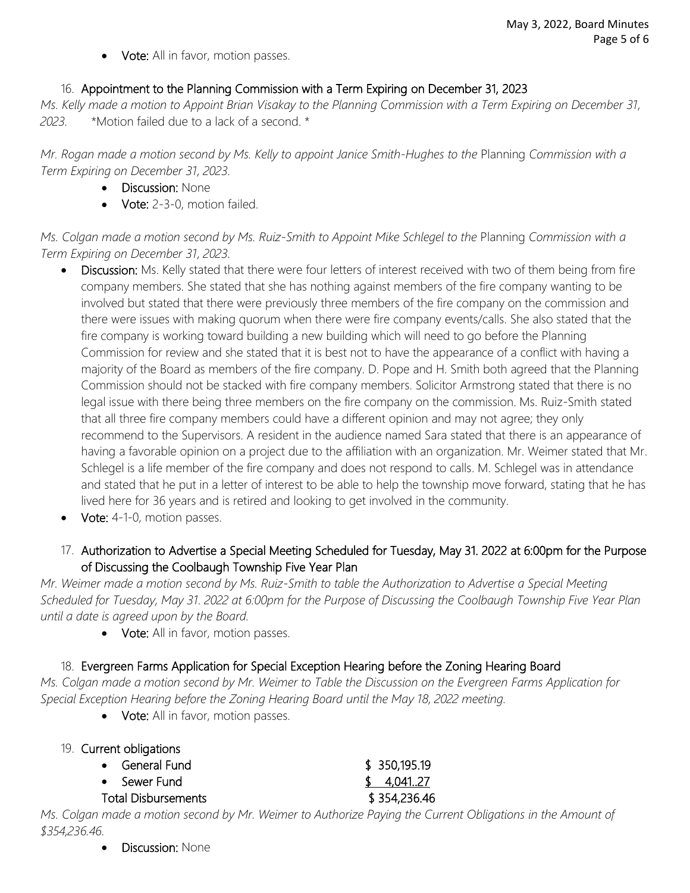**Vote:** All in favor, motion passes.

### 16. Appointment to the Planning Commission with a Term Expiring on December 31, 2023

*Ms. Kelly made a motion to Appoint Brian Visakay to the Planning Commission with a Term Expiring on December 31, 2023.* \*Motion failed due to a lack of a second. \*

*Mr. Rogan made a motion second by Ms. Kelly to appoint Janice Smith-Hughes to the* Planning *Commission with a Term Expiring on December 31, 2023.*

- Discussion: None
- Vote: 2-3-0, motion failed.

*Ms. Colgan made a motion second by Ms. Ruiz-Smith to Appoint Mike Schlegel to the* Planning *Commission with a Term Expiring on December 31, 2023.*

- Discussion: Ms. Kelly stated that there were four letters of interest received with two of them being from fire company members. She stated that she has nothing against members of the fire company wanting to be involved but stated that there were previously three members of the fire company on the commission and there were issues with making quorum when there were fire company events/calls. She also stated that the fire company is working toward building a new building which will need to go before the Planning Commission for review and she stated that it is best not to have the appearance of a conflict with having a majority of the Board as members of the fire company. D. Pope and H. Smith both agreed that the Planning Commission should not be stacked with fire company members. Solicitor Armstrong stated that there is no legal issue with there being three members on the fire company on the commission. Ms. Ruiz-Smith stated that all three fire company members could have a different opinion and may not agree; they only recommend to the Supervisors. A resident in the audience named Sara stated that there is an appearance of having a favorable opinion on a project due to the affiliation with an organization. Mr. Weimer stated that Mr. Schlegel is a life member of the fire company and does not respond to calls. M. Schlegel was in attendance and stated that he put in a letter of interest to be able to help the township move forward, stating that he has lived here for 36 years and is retired and looking to get involved in the community.
- Vote: 4-1-0, motion passes.
- 17. Authorization to Advertise a Special Meeting Scheduled for Tuesday, May 31. 2022 at 6:00pm for the Purpose of Discussing the Coolbaugh Township Five Year Plan

*Mr. Weimer made a motion second by Ms. Ruiz-Smith to table the Authorization to Advertise a Special Meeting Scheduled for Tuesday, May 31. 2022 at 6:00pm for the Purpose of Discussing the Coolbaugh Township Five Year Plan until a date is agreed upon by the Board.*

• Vote: All in favor, motion passes.

# 18. Evergreen Farms Application for Special Exception Hearing before the Zoning Hearing Board

*Ms. Colgan made a motion second by Mr. Weimer to Table the Discussion on the Evergreen Farms Application for Special Exception Hearing before the Zoning Hearing Board until the May 18, 2022 meeting.* 

• Vote: All in favor, motion passes.

| 19. Current obligations    |               |
|----------------------------|---------------|
| • General Fund             | \$ 350,195.19 |
| • Sewer Fund               | \$4.041.27    |
| <b>Total Disbursements</b> | \$354,236.46  |

*Ms. Colgan made a motion second by Mr. Weimer to Authorize Paying the Current Obligations in the Amount of \$354,236.46.* 

• Discussion: None